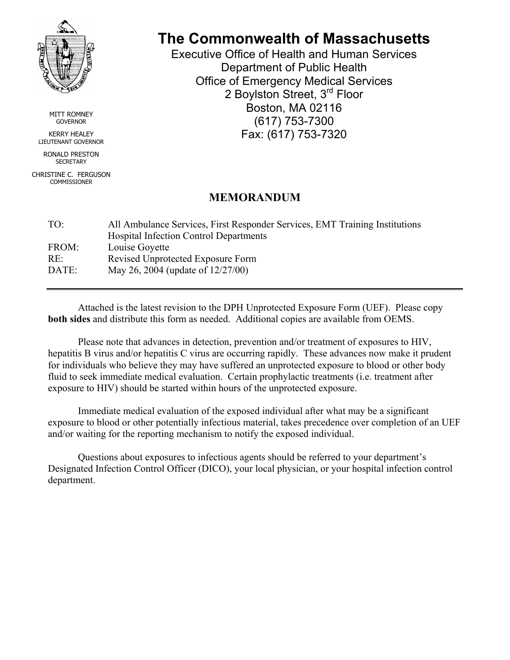

MITT ROMNEY **GOVERNOR** 

KERRY HEALEY LIEUTENANT GOVERNOR RONALD PRESTON

**SECRETARY** 

CHRISTINE C. FERGUSON COMMISSIONER

# **The Commonwealth of Massachusetts**

Executive Office of Health and Human Services Department of Public Health Office of Emergency Medical Services 2 Boylston Street, 3<sup>rd</sup> Floor Boston, MA 02116 (617) 753-7300 Fax: (617) 753-7320

## **MEMORANDUM**

| TO <sup>1</sup> | All Ambulance Services, First Responder Services, EMT Training Institutions |
|-----------------|-----------------------------------------------------------------------------|
|                 | <b>Hospital Infection Control Departments</b>                               |
| FROM:           | Louise Goyette                                                              |
| RE:             | Revised Unprotected Exposure Form                                           |
| DATE:           | May 26, 2004 (update of 12/27/00)                                           |

Attached is the latest revision to the DPH Unprotected Exposure Form (UEF). Please copy **both sides** and distribute this form as needed. Additional copies are available from OEMS.

Please note that advances in detection, prevention and/or treatment of exposures to HIV, hepatitis B virus and/or hepatitis C virus are occurring rapidly. These advances now make it prudent for individuals who believe they may have suffered an unprotected exposure to blood or other body fluid to seek immediate medical evaluation. Certain prophylactic treatments (i.e. treatment after exposure to HIV) should be started within hours of the unprotected exposure.

Immediate medical evaluation of the exposed individual after what may be a significant exposure to blood or other potentially infectious material, takes precedence over completion of an UEF and/or waiting for the reporting mechanism to notify the exposed individual.

Questions about exposures to infectious agents should be referred to your department's Designated Infection Control Officer (DICO), your local physician, or your hospital infection control department.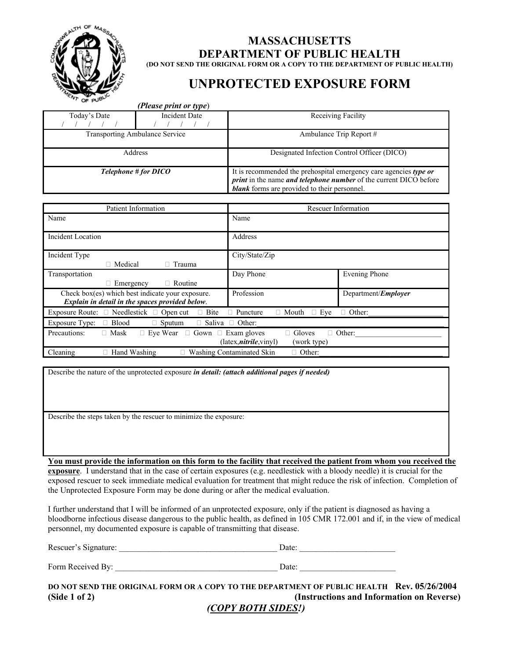

## **MASSACHUSETTS DEPARTMENT OF PUBLIC HEALTH (DO NOT SEND THE ORIGINAL FORM OR A COPY TO THE DEPARTMENT OF PUBLIC HEALTH)**

## **UNPROTECTED EXPOSURE FORM**

|                                                                                                                                                                   | (Please print or type) |                                                                                                                                                                                                             |                             |  |
|-------------------------------------------------------------------------------------------------------------------------------------------------------------------|------------------------|-------------------------------------------------------------------------------------------------------------------------------------------------------------------------------------------------------------|-----------------------------|--|
| Today's Date                                                                                                                                                      | <b>Incident Date</b>   | Receiving Facility                                                                                                                                                                                          |                             |  |
| <b>Transporting Ambulance Service</b>                                                                                                                             |                        | Ambulance Trip Report #                                                                                                                                                                                     |                             |  |
| Address                                                                                                                                                           |                        | Designated Infection Control Officer (DICO)                                                                                                                                                                 |                             |  |
| Telephone # for DICO                                                                                                                                              |                        | It is recommended the prehospital emergency care agencies type or<br><i>print</i> in the name <i>and telephone number</i> of the current DICO before<br><b>blank</b> forms are provided to their personnel. |                             |  |
| Patient Information                                                                                                                                               |                        | <b>Rescuer Information</b>                                                                                                                                                                                  |                             |  |
| Name                                                                                                                                                              |                        | Name                                                                                                                                                                                                        |                             |  |
| <b>Incident Location</b>                                                                                                                                          |                        | Address                                                                                                                                                                                                     |                             |  |
| Incident Type<br>□ Medical                                                                                                                                        | $\Box$ Trauma          | City/State/Zip                                                                                                                                                                                              |                             |  |
| Transportation<br>$\Box$ Emergency                                                                                                                                | $\Box$ Routine         | Day Phone                                                                                                                                                                                                   | <b>Evening Phone</b>        |  |
| Check box(es) which best indicate your exposure.<br>Explain in detail in the spaces provided below.                                                               |                        | Profession                                                                                                                                                                                                  | Department/ <i>Employer</i> |  |
| Exposure Route: □ Needlestick □ Open cut<br>$\Box$ Bite<br>$\Box$ Puncture                                                                                        |                        | $\Box$ Mouth<br>$\Box$ Eye                                                                                                                                                                                  | □ Other:                    |  |
| Exposure Type:<br>$\Box$ Blood                                                                                                                                    | $\Box$ Sputum          | $\Box$ Saliva $\Box$ Other:                                                                                                                                                                                 |                             |  |
| $\Box$ Mask<br>$\Box$ Eye Wear $\Box$ Gown $\Box$ Exam gloves<br>$\Box$ Gloves<br>Precautions:<br>$\Box$ Other:<br>(latex, <i>nitrile</i> , vinyl)<br>(work type) |                        |                                                                                                                                                                                                             |                             |  |
| □ Hand Washing<br>$\Box$ Washing Contaminated Skin<br>Cleaning<br>$\Box$ Other:                                                                                   |                        |                                                                                                                                                                                                             |                             |  |

Describe the nature of the unprotected exposure *in detail: (attach additional pages if needed)* 

Describe the steps taken by the rescuer to minimize the exposure:

**You must provide the information on this form to the facility that received the patient from whom you received the** 

**exposure**. I understand that in the case of certain exposures (e.g. needlestick with a bloody needle) it is crucial for the exposed rescuer to seek immediate medical evaluation for treatment that might reduce the risk of infection. Completion of the Unprotected Exposure Form may be done during or after the medical evaluation.

I further understand that I will be informed of an unprotected exposure, only if the patient is diagnosed as having a bloodborne infectious disease dangerous to the public health, as defined in 105 CMR 172.001 and if, in the view of medical personnel, my documented exposure is capable of transmitting that disease.

Rescuer's Signature: \_\_\_\_\_\_\_\_\_\_\_\_\_\_\_\_\_\_\_\_\_\_\_\_\_\_\_\_\_\_\_\_\_\_\_\_\_\_ Date: \_\_\_\_\_\_\_\_\_\_\_\_\_\_\_\_\_\_\_\_\_\_\_

Form Received By:  $\Box$ 

**DO NOT SEND THE ORIGINAL FORM OR A COPY TO THE DEPARTMENT OF PUBLIC HEALTH Rev. 05/26/2004 (Side 1 of 2)****(Instructions and Information on Reverse)**

*(COPY BOTH SIDES!)*